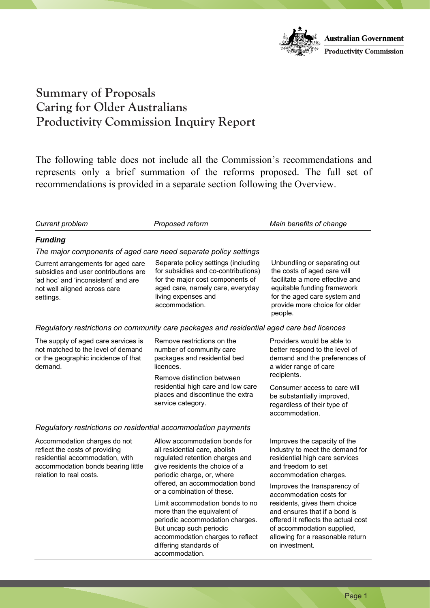

The following table does not include all the Commission's recommendations and represents only a brief summation of the reforms proposed. The full set of recommendations is provided in a separate section following the Overview. Tepresents only a offer summation of the Teromiss proposed. The full set of recommendations is provided in a separate section following the Overview.

| <b>Current problem</b>                                                                                                                                             | Proposed reform                                                                                                                                                                                              | Main benefits of change                                                                                                                                                                                   |
|--------------------------------------------------------------------------------------------------------------------------------------------------------------------|--------------------------------------------------------------------------------------------------------------------------------------------------------------------------------------------------------------|-----------------------------------------------------------------------------------------------------------------------------------------------------------------------------------------------------------|
| <b>Funding</b>                                                                                                                                                     |                                                                                                                                                                                                              |                                                                                                                                                                                                           |
| The major components of aged care need separate policy settings                                                                                                    |                                                                                                                                                                                                              |                                                                                                                                                                                                           |
| Current arrangements for aged care<br>subsidies and user contributions are<br>'ad hoc' and 'inconsistent' and are<br>not well aligned across care<br>settings.     | Separate policy settings (including<br>for subsidies and co-contributions)<br>for the major cost components of<br>aged care, namely care, everyday<br>living expenses and<br>accommodation.                  | Unbundling or separating out<br>the costs of aged care will<br>facilitate a more effective and<br>equitable funding framework<br>for the aged care system and<br>provide more choice for older<br>people. |
| Regulatory restrictions on community care packages and residential aged care bed licences                                                                          |                                                                                                                                                                                                              |                                                                                                                                                                                                           |
| The supply of aged care services is<br>not matched to the level of demand<br>or the geographic incidence of that<br>demand.                                        | Remove restrictions on the<br>number of community care<br>packages and residential bed<br>licences.<br>Remove distinction between                                                                            | Providers would be able to<br>better respond to the level of<br>demand and the preferences of<br>a wider range of care<br>recipients.                                                                     |
|                                                                                                                                                                    | residential high care and low care<br>places and discontinue the extra<br>service category.                                                                                                                  | Consumer access to care will<br>be substantially improved,<br>regardless of their type of<br>accommodation.                                                                                               |
| Regulatory restrictions on residential accommodation payments                                                                                                      |                                                                                                                                                                                                              |                                                                                                                                                                                                           |
| Accommodation charges do not<br>reflect the costs of providing<br>residential accommodation, with<br>accommodation bonds bearing little<br>relation to real costs. | Allow accommodation bonds for<br>all residential care, abolish<br>regulated retention charges and<br>give residents the choice of a<br>periodic charge, or, where<br>offered, an accommodation bond          | Improves the capacity of the<br>industry to meet the demand for<br>residential high care services<br>and freedom to set<br>accommodation charges.<br>Improves the transparency of                         |
|                                                                                                                                                                    | or a combination of these.                                                                                                                                                                                   | accommodation costs for                                                                                                                                                                                   |
|                                                                                                                                                                    | Limit accommodation bonds to no<br>more than the equivalent of<br>periodic accommodation charges.<br>But uncap such periodic<br>accommodation charges to reflect<br>differing standards of<br>accommodation. | residents, gives them choice<br>and ensures that if a bond is<br>offered it reflects the actual cost<br>of accommodation supplied,<br>allowing for a reasonable return<br>on investment.                  |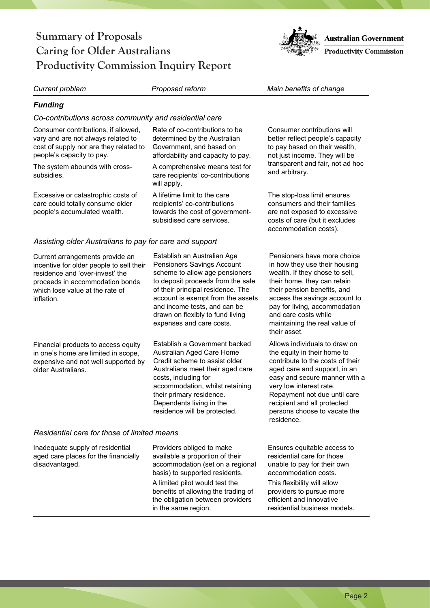residential business models.

### **Summary of Proposals Caring for Older Australians Productivity Commission Inquiry Report**

*Current problem Proposed reform Main benefits of change* 

### *Funding*

*Co-contributions across community and residential care* 

| Consumer contributions, if allowed,<br>vary and are not always related to<br>cost of supply nor are they related to<br>people's capacity to pay.<br>The system abounds with cross-<br>subsidies.   | Rate of co-contributions to be<br>determined by the Australian<br>Government, and based on<br>affordability and capacity to pay.<br>A comprehensive means test for<br>care recipients' co-contributions<br>will apply.                                                                                     | Consumer contributions will<br>better reflect people's capacity<br>to pay based on their wealth,<br>not just income. They will be<br>transparent and fair, not ad hoc<br>and arbitrary.                                                                                                                   |
|----------------------------------------------------------------------------------------------------------------------------------------------------------------------------------------------------|------------------------------------------------------------------------------------------------------------------------------------------------------------------------------------------------------------------------------------------------------------------------------------------------------------|-----------------------------------------------------------------------------------------------------------------------------------------------------------------------------------------------------------------------------------------------------------------------------------------------------------|
| Excessive or catastrophic costs of<br>care could totally consume older<br>people's accumulated wealth.                                                                                             | A lifetime limit to the care<br>recipients' co-contributions<br>towards the cost of government-<br>subsidised care services.                                                                                                                                                                               | The stop-loss limit ensures<br>consumers and their families<br>are not exposed to excessive<br>costs of care (but it excludes<br>accommodation costs).                                                                                                                                                    |
| Assisting older Australians to pay for care and support                                                                                                                                            |                                                                                                                                                                                                                                                                                                            |                                                                                                                                                                                                                                                                                                           |
| Current arrangements provide an<br>incentive for older people to sell their<br>residence and 'over-invest' the<br>proceeds in accommodation bonds<br>which lose value at the rate of<br>inflation. | Establish an Australian Age<br>Pensioners Savings Account<br>scheme to allow age pensioners<br>to deposit proceeds from the sale<br>of their principal residence. The<br>account is exempt from the assets<br>and income tests, and can be<br>drawn on flexibly to fund living<br>expenses and care costs. | Pensioners have more choice<br>in how they use their housing<br>wealth. If they chose to sell,<br>their home, they can retain<br>their pension benefits, and<br>access the savings account to<br>pay for living, accommodation<br>and care costs while<br>maintaining the real value of<br>their asset.   |
| Financial products to access equity<br>in one's home are limited in scope,<br>expensive and not well supported by<br>older Australians.                                                            | Establish a Government backed<br>Australian Aged Care Home<br>Credit scheme to assist older<br>Australians meet their aged care<br>costs, including for<br>accommodation, whilst retaining<br>their primary residence.<br>Dependents living in the<br>residence will be protected.                         | Allows individuals to draw on<br>the equity in their home to<br>contribute to the costs of their<br>aged care and support, in an<br>easy and secure manner with a<br>very low interest rate.<br>Repayment not due until care<br>recipient and all protected<br>persons choose to vacate the<br>residence. |
| Residential care for those of limited means                                                                                                                                                        |                                                                                                                                                                                                                                                                                                            |                                                                                                                                                                                                                                                                                                           |
| Inadequate supply of residential<br>aged care places for the financially<br>disadvantaged.                                                                                                         | Providers obliged to make<br>available a proportion of their<br>accommodation (set on a regional<br>basis) to supported residents.<br>A limited pilot would test the<br>benefits of allowing the trading of<br>the obligation between providers                                                            | Ensures equitable access to<br>residential care for those<br>unable to pay for their own<br>accommodation costs.<br>This flexibility will allow<br>providers to pursue more<br>efficient and innovative                                                                                                   |

in the same region.

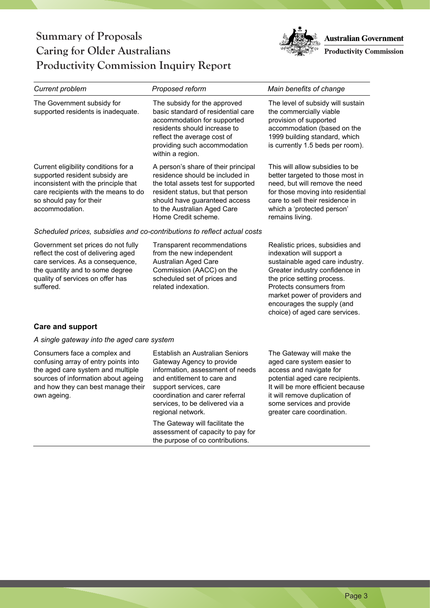

| <b>Current problem</b>                                                                                                                                                                              | Proposed reform                                                                                                                                                                                                                          | Main benefits of change                                                                                                                                                                                                                                                                     |
|-----------------------------------------------------------------------------------------------------------------------------------------------------------------------------------------------------|------------------------------------------------------------------------------------------------------------------------------------------------------------------------------------------------------------------------------------------|---------------------------------------------------------------------------------------------------------------------------------------------------------------------------------------------------------------------------------------------------------------------------------------------|
| The Government subsidy for<br>supported residents is inadequate.                                                                                                                                    | The subsidy for the approved<br>basic standard of residential care<br>accommodation for supported<br>residents should increase to<br>reflect the average cost of<br>providing such accommodation<br>within a region.                     | The level of subsidy will sustain<br>the commercially viable<br>provision of supported<br>accommodation (based on the<br>1999 building standard, which<br>is currently 1.5 beds per room).                                                                                                  |
| Current eligibility conditions for a<br>supported resident subsidy are<br>inconsistent with the principle that<br>care recipients with the means to do<br>so should pay for their<br>accommodation. | A person's share of their principal<br>residence should be included in<br>the total assets test for supported<br>resident status, but that person<br>should have guaranteed access<br>to the Australian Aged Care<br>Home Credit scheme. | This will allow subsidies to be<br>better targeted to those most in<br>need, but will remove the need<br>for those moving into residential<br>care to sell their residence in<br>which a 'protected person'<br>remains living.                                                              |
| Scheduled prices, subsidies and co-contributions to reflect actual costs                                                                                                                            |                                                                                                                                                                                                                                          |                                                                                                                                                                                                                                                                                             |
| Government set prices do not fully<br>reflect the cost of delivering aged<br>care services. As a consequence,<br>the quantity and to some degree<br>quality of services on offer has<br>suffered.   | Transparent recommendations<br>from the new independent<br>Australian Aged Care<br>Commission (AACC) on the<br>scheduled set of prices and<br>related indexation.                                                                        | Realistic prices, subsidies and<br>indexation will support a<br>sustainable aged care industry.<br>Greater industry confidence in<br>the price setting process.<br>Protects consumers from<br>market power of providers and<br>encourages the supply (and<br>choice) of aged care services. |
| <b>Care and support</b>                                                                                                                                                                             |                                                                                                                                                                                                                                          |                                                                                                                                                                                                                                                                                             |
| A single gateway into the aged care system                                                                                                                                                          |                                                                                                                                                                                                                                          |                                                                                                                                                                                                                                                                                             |

Consumers face a complex and confusing array of entry points into the aged care system and multiple sources of information about ageing and how they can best manage their own ageing.

Establish an Australian Seniors Gateway Agency to provide information, assessment of needs and entitlement to care and support services, care coordination and carer referral services, to be delivered via a regional network.

The Gateway will facilitate the assessment of capacity to pay for the purpose of co contributions.

The Gateway will make the aged care system easier to access and navigate for potential aged care recipients. It will be more efficient because it will remove duplication of some services and provide greater care coordination.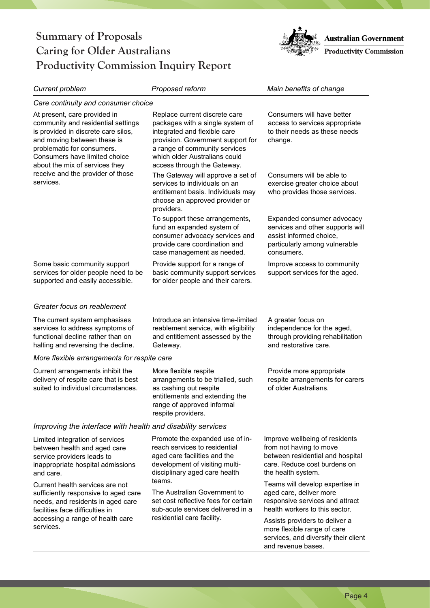

| <b>Current problem</b>                                                                                                                                                                                                                    | Proposed reform                                                                                                                                                                                                                         | Main benefits of change                                                                                                                             |
|-------------------------------------------------------------------------------------------------------------------------------------------------------------------------------------------------------------------------------------------|-----------------------------------------------------------------------------------------------------------------------------------------------------------------------------------------------------------------------------------------|-----------------------------------------------------------------------------------------------------------------------------------------------------|
| Care continuity and consumer choice                                                                                                                                                                                                       |                                                                                                                                                                                                                                         |                                                                                                                                                     |
| At present, care provided in<br>community and residential settings<br>is provided in discrete care silos,<br>and moving between these is<br>problematic for consumers.<br>Consumers have limited choice<br>about the mix of services they | Replace current discrete care<br>packages with a single system of<br>integrated and flexible care<br>provision. Government support for<br>a range of community services<br>which older Australians could<br>access through the Gateway. | Consumers will have better<br>access to services appropriate<br>to their needs as these needs<br>change.                                            |
| receive and the provider of those<br>services.                                                                                                                                                                                            | The Gateway will approve a set of<br>services to individuals on an<br>entitlement basis. Individuals may<br>choose an approved provider or<br>providers.                                                                                | Consumers will be able to<br>exercise greater choice about<br>who provides those services.                                                          |
|                                                                                                                                                                                                                                           | To support these arrangements,<br>fund an expanded system of<br>consumer advocacy services and<br>provide care coordination and<br>case management as needed.                                                                           | Expanded consumer advocacy<br>services and other supports will<br>assist informed choice,<br>particularly among vulnerable<br>consumers.            |
| Some basic community support<br>services for older people need to be<br>supported and easily accessible.                                                                                                                                  | Provide support for a range of<br>basic community support services<br>for older people and their carers.                                                                                                                                | Improve access to community<br>support services for the aged.                                                                                       |
| Greater focus on reablement                                                                                                                                                                                                               |                                                                                                                                                                                                                                         |                                                                                                                                                     |
| The current system emphasises<br>services to address symptoms of<br>functional decline rather than on<br>halting and reversing the decline.                                                                                               | Introduce an intensive time-limited<br>reablement service, with eligibility<br>and entitlement assessed by the<br>Gateway.                                                                                                              | A greater focus on<br>independence for the aged,<br>through providing rehabilitation<br>and restorative care.                                       |
| More flexible arrangements for respite care                                                                                                                                                                                               |                                                                                                                                                                                                                                         |                                                                                                                                                     |
| Current arrangements inhibit the<br>delivery of respite care that is best<br>suited to individual circumstances.                                                                                                                          | More flexible respite<br>arrangements to be trialled, such<br>as cashing out respite<br>entitlements and extending the<br>range of approved informal<br>respite providers.                                                              | Provide more appropriate<br>respite arrangements for carers<br>of older Australians.                                                                |
| Improving the interface with health and disability services                                                                                                                                                                               |                                                                                                                                                                                                                                         |                                                                                                                                                     |
| Limited integration of services<br>between health and aged care<br>service providers leads to<br>inappropriate hospital admissions<br>and care.                                                                                           | Promote the expanded use of in-<br>reach services to residential<br>aged care facilities and the<br>development of visiting multi-<br>disciplinary aged care health                                                                     | Improve wellbeing of residents<br>from not having to move<br>between residential and hospital<br>care. Reduce cost burdens on<br>the health system. |
| Current health services are not<br>sufficiently responsive to aged care<br>needs, and residents in aged care<br>facilities face difficulties in<br>accessing a range of health care<br>services.                                          | teams.<br>The Australian Government to<br>set cost reflective fees for certain<br>sub-acute services delivered in a                                                                                                                     | Teams will develop expertise in<br>aged care, deliver more<br>responsive services and attract<br>health workers to this sector.                     |
|                                                                                                                                                                                                                                           | residential care facility.                                                                                                                                                                                                              | Assists providers to deliver a<br>more flexible range of care<br>services, and diversify their client<br>and revenue bases.                         |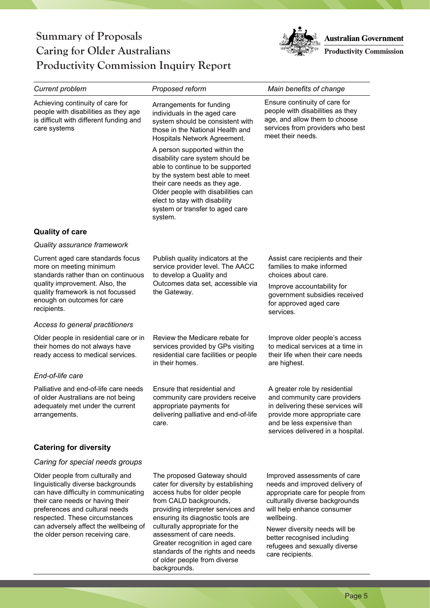

| <b>Current problem</b>                                                                                                                                                                                                                                                                              | Proposed reform                                                                                                                                                                                                                                                                                                                                                                 | Main benefits of change                                                                                                                                                                                                                                                                               |
|-----------------------------------------------------------------------------------------------------------------------------------------------------------------------------------------------------------------------------------------------------------------------------------------------------|---------------------------------------------------------------------------------------------------------------------------------------------------------------------------------------------------------------------------------------------------------------------------------------------------------------------------------------------------------------------------------|-------------------------------------------------------------------------------------------------------------------------------------------------------------------------------------------------------------------------------------------------------------------------------------------------------|
| Achieving continuity of care for<br>people with disabilities as they age<br>is difficult with different funding and<br>care systems                                                                                                                                                                 | Arrangements for funding<br>individuals in the aged care<br>system should be consistent with<br>those in the National Health and<br>Hospitals Network Agreement.                                                                                                                                                                                                                | Ensure continuity of care for<br>people with disabilities as they<br>age, and allow them to choose<br>services from providers who best<br>meet their needs.                                                                                                                                           |
|                                                                                                                                                                                                                                                                                                     | A person supported within the<br>disability care system should be<br>able to continue to be supported<br>by the system best able to meet<br>their care needs as they age.<br>Older people with disabilities can<br>elect to stay with disability<br>system or transfer to aged care<br>system.                                                                                  |                                                                                                                                                                                                                                                                                                       |
| <b>Quality of care</b>                                                                                                                                                                                                                                                                              |                                                                                                                                                                                                                                                                                                                                                                                 |                                                                                                                                                                                                                                                                                                       |
| Quality assurance framework                                                                                                                                                                                                                                                                         |                                                                                                                                                                                                                                                                                                                                                                                 |                                                                                                                                                                                                                                                                                                       |
| Current aged care standards focus<br>more on meeting minimum<br>standards rather than on continuous                                                                                                                                                                                                 | Publish quality indicators at the<br>service provider level. The AACC<br>to develop a Quality and                                                                                                                                                                                                                                                                               | Assist care recipients and their<br>families to make informed<br>choices about care.                                                                                                                                                                                                                  |
| quality improvement. Also, the<br>quality framework is not focussed<br>enough on outcomes for care<br>recipients.                                                                                                                                                                                   | Outcomes data set, accessible via<br>the Gateway.                                                                                                                                                                                                                                                                                                                               | Improve accountability for<br>government subsidies received<br>for approved aged care<br>services.                                                                                                                                                                                                    |
| Access to general practitioners                                                                                                                                                                                                                                                                     |                                                                                                                                                                                                                                                                                                                                                                                 |                                                                                                                                                                                                                                                                                                       |
| Older people in residential care or in<br>their homes do not always have<br>ready access to medical services.                                                                                                                                                                                       | Review the Medicare rebate for<br>services provided by GPs visiting<br>residential care facilities or people<br>in their homes.                                                                                                                                                                                                                                                 | Improve older people's access<br>to medical services at a time in<br>their life when their care needs<br>are highest.                                                                                                                                                                                 |
| End-of-life care                                                                                                                                                                                                                                                                                    |                                                                                                                                                                                                                                                                                                                                                                                 |                                                                                                                                                                                                                                                                                                       |
| Palliative and end-of-life care needs<br>of older Australians are not being<br>adequately met under the current<br>arrangements.                                                                                                                                                                    | Ensure that residential and<br>community care providers receive<br>appropriate payments for<br>delivering palliative and end-of-life<br>care.                                                                                                                                                                                                                                   | A greater role by residential<br>and community care providers<br>in delivering these services will<br>provide more appropriate care<br>and be less expensive than<br>services delivered in a hospital.                                                                                                |
| <b>Catering for diversity</b>                                                                                                                                                                                                                                                                       |                                                                                                                                                                                                                                                                                                                                                                                 |                                                                                                                                                                                                                                                                                                       |
| Caring for special needs groups                                                                                                                                                                                                                                                                     |                                                                                                                                                                                                                                                                                                                                                                                 |                                                                                                                                                                                                                                                                                                       |
| Older people from culturally and<br>linguistically diverse backgrounds<br>can have difficulty in communicating<br>their care needs or having their<br>preferences and cultural needs<br>respected. These circumstances<br>can adversely affect the wellbeing of<br>the older person receiving care. | The proposed Gateway should<br>cater for diversity by establishing<br>access hubs for older people<br>from CALD backgrounds,<br>providing interpreter services and<br>ensuring its diagnostic tools are<br>culturally appropriate for the<br>assessment of care needs.<br>Greater recognition in aged care<br>standards of the rights and needs<br>of older people from diverse | Improved assessments of care<br>needs and improved delivery of<br>appropriate care for people from<br>culturally diverse backgrounds<br>will help enhance consumer<br>wellbeing.<br>Newer diversity needs will be<br>better recognised including<br>refugees and sexually diverse<br>care recipients. |

backgrounds.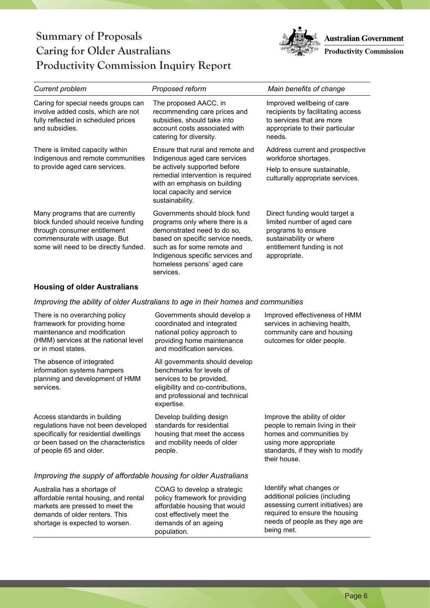

| <b>Current problem</b>                                                                                                                                                           | Proposed reform                                                                                                                                                                                                                                   | Main benefits of change                                                                                                                                     |
|----------------------------------------------------------------------------------------------------------------------------------------------------------------------------------|---------------------------------------------------------------------------------------------------------------------------------------------------------------------------------------------------------------------------------------------------|-------------------------------------------------------------------------------------------------------------------------------------------------------------|
| Caring for special needs groups can<br>involve added costs, which are not<br>fully reflected in scheduled prices<br>and subsidies.                                               | The proposed AACC, in<br>recommending care prices and<br>subsidies, should take into<br>account costs associated with<br>catering for diversity.                                                                                                  | Improved wellbeing of care<br>recipients by facilitating access<br>to services that are more<br>appropriate to their particular<br>needs.                   |
| There is limited capacity within<br>Indigenous and remote communities<br>to provide aged care services.                                                                          | Ensure that rural and remote and<br>Indigenous aged care services<br>be actively supported before<br>remedial intervention is required<br>with an emphasis on building<br>local capacity and service<br>sustainability.                           | Address current and prospective<br>workforce shortages.<br>Help to ensure sustainable,<br>culturally appropriate services.                                  |
| Many programs that are currently<br>block funded should receive funding<br>through consumer entitlement<br>commensurate with usage. But<br>some will need to be directly funded. | Governments should block fund<br>programs only where there is a<br>demonstrated need to do so,<br>based on specific service needs,<br>such as for some remote and<br>Indigenous specific services and<br>homeless persons' aged care<br>services. | Direct funding would target a<br>limited number of aged care<br>programs to ensure<br>sustainability or where<br>entitlement funding is not<br>appropriate. |

### **Housing of older Australians**

### *Improving the ability of older Australians to age in their homes and communities*

| There is no overarching policy<br>framework for providing home<br>maintenance and modification<br>(HMM) services at the national level<br>or in most states.                     | Governments should develop a<br>coordinated and integrated<br>national policy approach to<br>providing home maintenance<br>and modification services.                       | Improved effectiveness of HMM<br>services in achieving health,<br>community care and housing<br>outcomes for older people.                                                          |
|----------------------------------------------------------------------------------------------------------------------------------------------------------------------------------|-----------------------------------------------------------------------------------------------------------------------------------------------------------------------------|-------------------------------------------------------------------------------------------------------------------------------------------------------------------------------------|
| The absence of integrated<br>information systems hampers<br>planning and development of HMM<br>services.                                                                         | All governments should develop<br>benchmarks for levels of<br>services to be provided,<br>eligibility and co-contributions,<br>and professional and technical<br>expertise. |                                                                                                                                                                                     |
| Access standards in building<br>regulations have not been developed<br>specifically for residential dwellings<br>or been based on the characteristics<br>of people 65 and older. | Develop building design<br>standards for residential<br>housing that meet the access<br>and mobility needs of older<br>people.                                              | Improve the ability of older<br>people to remain living in their<br>homes and communities by<br>using more appropriate<br>standards, if they wish to modify<br>their house.         |
| Improving the supply of affordable housing for older Australians                                                                                                                 |                                                                                                                                                                             |                                                                                                                                                                                     |
| Australia has a shortage of<br>affordable rental housing, and rental<br>markets are pressed to meet the<br>demands of older renters. This<br>shortage is expected to worsen.     | COAG to develop a strategic<br>policy framework for providing<br>affordable housing that would<br>cost effectively meet the<br>demands of an ageing<br>population.          | Identify what changes or<br>additional policies (including<br>assessing current initiatives) are<br>required to ensure the housing<br>needs of people as they age are<br>being met. |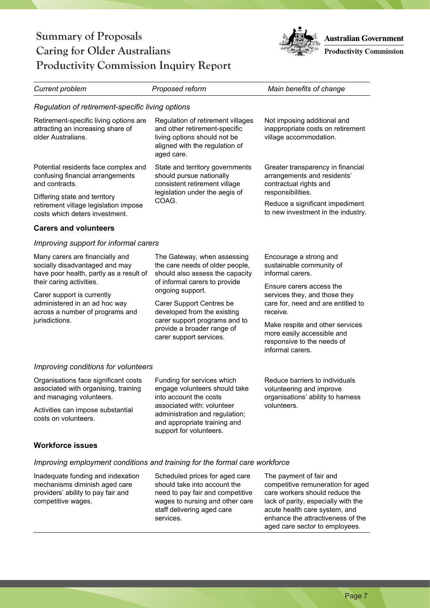

| <b>Current problem</b>                                                                                                                                                                                                                                       | Proposed reform                                                                                                                                                                                                  | Main benefits of change                                                                                         |
|--------------------------------------------------------------------------------------------------------------------------------------------------------------------------------------------------------------------------------------------------------------|------------------------------------------------------------------------------------------------------------------------------------------------------------------------------------------------------------------|-----------------------------------------------------------------------------------------------------------------|
| Regulation of retirement-specific living options                                                                                                                                                                                                             |                                                                                                                                                                                                                  |                                                                                                                 |
| Retirement-specific living options are<br>attracting an increasing share of<br>older Australians.                                                                                                                                                            | Regulation of retirement villages<br>and other retirement-specific<br>living options should not be<br>aligned with the regulation of<br>aged care.                                                               | Not imposing additional and<br>inappropriate costs on retirement<br>village accommodation.                      |
| Potential residents face complex and<br>confusing financial arrangements<br>and contracts.                                                                                                                                                                   | State and territory governments<br>should pursue nationally<br>consistent retirement village                                                                                                                     | Greater transparency in financial<br>arrangements and residents'<br>contractual rights and                      |
| Differing state and territory<br>retirement village legislation impose<br>costs which deters investment.                                                                                                                                                     | legislation under the aegis of<br>COAG.                                                                                                                                                                          | responsibilities.<br>Reduce a significant impediment<br>to new investment in the industry.                      |
| <b>Carers and volunteers</b>                                                                                                                                                                                                                                 |                                                                                                                                                                                                                  |                                                                                                                 |
| Improving support for informal carers                                                                                                                                                                                                                        |                                                                                                                                                                                                                  |                                                                                                                 |
| Many carers are financially and<br>socially disadvantaged and may<br>have poor health, partly as a result of<br>their caring activities.<br>Carer support is currently<br>administered in an ad hoc way<br>across a number of programs and<br>jurisdictions. | The Gateway, when assessing<br>the care needs of older people,<br>should also assess the capacity<br>of informal carers to provide                                                                               | Encourage a strong and<br>sustainable community of<br>informal carers.<br>Ensure carers access the              |
|                                                                                                                                                                                                                                                              | ongoing support.<br>Carer Support Centres be<br>developed from the existing                                                                                                                                      | services they, and those they<br>care for, need and are entitled to<br>receive.                                 |
|                                                                                                                                                                                                                                                              | carer support programs and to<br>provide a broader range of<br>carer support services.                                                                                                                           | Make respite and other services<br>more easily accessible and<br>responsive to the needs of<br>informal carers. |
| Improving conditions for volunteers                                                                                                                                                                                                                          |                                                                                                                                                                                                                  |                                                                                                                 |
| Organisations face significant costs<br>associated with organising, training<br>and managing volunteers.                                                                                                                                                     | Funding for services which<br>engage volunteers should take<br>into account the costs<br>associated with: volunteer<br>administration and regulation;<br>and appropriate training and<br>support for volunteers. | Reduce barriers to individuals<br>volunteering and improve<br>organisations' ability to harness                 |
| Activities can impose substantial<br>costs on volunteers.                                                                                                                                                                                                    |                                                                                                                                                                                                                  | volunteers.                                                                                                     |
| <b>Workforce issues</b>                                                                                                                                                                                                                                      |                                                                                                                                                                                                                  |                                                                                                                 |
| Improving employment conditions and training for the formal care workforce                                                                                                                                                                                   |                                                                                                                                                                                                                  |                                                                                                                 |

Inadequate funding and indexation mechanisms diminish aged care providers' ability to pay fair and competitive wages.

Scheduled prices for aged care should take into account the need to pay fair and competitive wages to nursing and other care staff delivering aged care services.

The payment of fair and competitive remuneration for aged care workers should reduce the lack of parity, especially with the acute health care system, and enhance the attractiveness of the aged care sector to employees.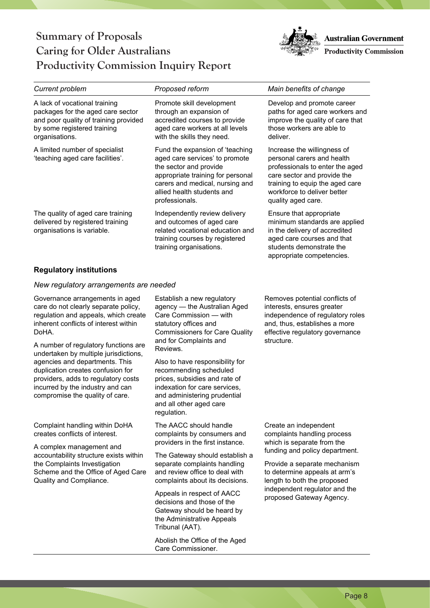

| Current problem                                                                                                                                              | Proposed reform                                                                                                                                                                                                      | Main benefits of change                                                                                                                                                                                             |
|--------------------------------------------------------------------------------------------------------------------------------------------------------------|----------------------------------------------------------------------------------------------------------------------------------------------------------------------------------------------------------------------|---------------------------------------------------------------------------------------------------------------------------------------------------------------------------------------------------------------------|
| A lack of vocational training<br>packages for the aged care sector<br>and poor quality of training provided<br>by some registered training<br>organisations. | Promote skill development<br>through an expansion of<br>accredited courses to provide<br>aged care workers at all levels<br>with the skills they need.                                                               | Develop and promote career<br>paths for aged care workers and<br>improve the quality of care that<br>those workers are able to<br>deliver.                                                                          |
| A limited number of specialist<br>'teaching aged care facilities'.                                                                                           | Fund the expansion of 'teaching'<br>aged care services' to promote<br>the sector and provide<br>appropriate training for personal<br>carers and medical, nursing and<br>allied health students and<br>professionals. | Increase the willingness of<br>personal carers and health<br>professionals to enter the aged<br>care sector and provide the<br>training to equip the aged care<br>workforce to deliver better<br>quality aged care. |
| The quality of aged care training<br>delivered by registered training<br>organisations is variable.                                                          | Independently review delivery<br>and outcomes of aged care<br>related vocational education and<br>training courses by registered<br>training organisations.                                                          | Ensure that appropriate<br>minimum standards are applied<br>in the delivery of accredited<br>aged care courses and that<br>students demonstrate the<br>appropriate competencies.                                    |

#### **Regulatory institutions**

#### *New regulatory arrangements are needed*

Governance arrangements in aged care do not clearly separate policy, regulation and appeals, which create inherent conflicts of interest within DoHA.

A number of regulatory functions are undertaken by multiple jurisdictions, agencies and departments. This duplication creates confusion for providers, adds to regulatory costs incurred by the industry and can compromise the quality of care.

Complaint handling within DoHA creates conflicts of interest.

A complex management and accountability structure exists within the Complaints Investigation Scheme and the Office of Aged Care Quality and Compliance.

Establish a new regulatory agency — the Australian Aged Care Commission — with statutory offices and Commissioners for Care Quality and for Complaints and Reviews.

Also to have responsibility for recommending scheduled prices, subsidies and rate of indexation for care services, and administering prudential and all other aged care regulation.

The AACC should handle complaints by consumers and providers in the first instance.

The Gateway should establish a separate complaints handling and review office to deal with complaints about its decisions.

Appeals in respect of AACC decisions and those of the Gateway should be heard by the Administrative Appeals Tribunal (AAT).

Abolish the Office of the Aged Care Commissioner.

Removes potential conflicts of interests, ensures greater independence of regulatory roles and, thus, establishes a more effective regulatory governance structure.

Create an independent complaints handling process which is separate from the funding and policy department.

Provide a separate mechanism to determine appeals at arm's length to both the proposed independent regulator and the proposed Gateway Agency.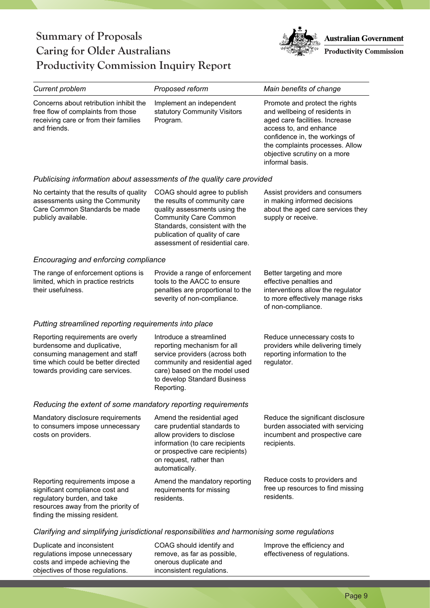objectives of those regulations.



| Current problem                                                                                                                                                               | Proposed reform                                                                                                                                                                                                                       | Main benefits of change                                                                                                                                                                                                                             |
|-------------------------------------------------------------------------------------------------------------------------------------------------------------------------------|---------------------------------------------------------------------------------------------------------------------------------------------------------------------------------------------------------------------------------------|-----------------------------------------------------------------------------------------------------------------------------------------------------------------------------------------------------------------------------------------------------|
| Concerns about retribution inhibit the<br>free flow of complaints from those<br>receiving care or from their families<br>and friends.                                         | Implement an independent<br>statutory Community Visitors<br>Program.                                                                                                                                                                  | Promote and protect the rights<br>and wellbeing of residents in<br>aged care facilities. Increase<br>access to, and enhance<br>confidence in, the workings of<br>the complaints processes. Allow<br>objective scrutiny on a more<br>informal basis. |
| Publicising information about assessments of the quality care provided                                                                                                        |                                                                                                                                                                                                                                       |                                                                                                                                                                                                                                                     |
| No certainty that the results of quality<br>assessments using the Community<br>Care Common Standards be made<br>publicly available.                                           | COAG should agree to publish<br>the results of community care<br>quality assessments using the<br><b>Community Care Common</b><br>Standards, consistent with the<br>publication of quality of care<br>assessment of residential care. | Assist providers and consumers<br>in making informed decisions<br>about the aged care services they<br>supply or receive.                                                                                                                           |
| Encouraging and enforcing compliance                                                                                                                                          |                                                                                                                                                                                                                                       |                                                                                                                                                                                                                                                     |
| The range of enforcement options is<br>limited, which in practice restricts<br>their usefulness.                                                                              | Provide a range of enforcement<br>tools to the AACC to ensure<br>penalties are proportional to the<br>severity of non-compliance.                                                                                                     | Better targeting and more<br>effective penalties and<br>interventions allow the regulator<br>to more effectively manage risks<br>of non-compliance.                                                                                                 |
| Putting streamlined reporting requirements into place                                                                                                                         |                                                                                                                                                                                                                                       |                                                                                                                                                                                                                                                     |
| Reporting requirements are overly<br>burdensome and duplicative,<br>consuming management and staff<br>time which could be better directed<br>towards providing care services. | Introduce a streamlined<br>reporting mechanism for all<br>service providers (across both<br>community and residential aged<br>care) based on the model used<br>to develop Standard Business<br>Reporting.                             | Reduce unnecessary costs to<br>providers while delivering timely<br>reporting information to the<br>regulator.                                                                                                                                      |
| Reducing the extent of some mandatory reporting requirements                                                                                                                  |                                                                                                                                                                                                                                       |                                                                                                                                                                                                                                                     |
| Mandatory disclosure requirements<br>to consumers impose unnecessary<br>costs on providers.                                                                                   | Amend the residential aged<br>care prudential standards to<br>allow providers to disclose<br>information (to care recipients<br>or prospective care recipients)<br>on request, rather than<br>automatically.                          | Reduce the significant disclosure<br>burden associated with servicing<br>incumbent and prospective care<br>recipients.                                                                                                                              |
| Reporting requirements impose a<br>significant compliance cost and<br>regulatory burden, and take<br>resources away from the priority of<br>finding the missing resident.     | Amend the mandatory reporting<br>requirements for missing<br>residents.                                                                                                                                                               | Reduce costs to providers and<br>free up resources to find missing<br>residents.                                                                                                                                                                    |
| Clarifying and simplifying jurisdictional responsibilities and harmonising some regulations                                                                                   |                                                                                                                                                                                                                                       |                                                                                                                                                                                                                                                     |
| Duplicate and inconsistent<br>regulations impose unnecessary<br>costs and impede achieving the                                                                                | COAG should identify and<br>remove, as far as possible,<br>onerous duplicate and                                                                                                                                                      | Improve the efficiency and<br>effectiveness of regulations.                                                                                                                                                                                         |

inconsistent regulations.